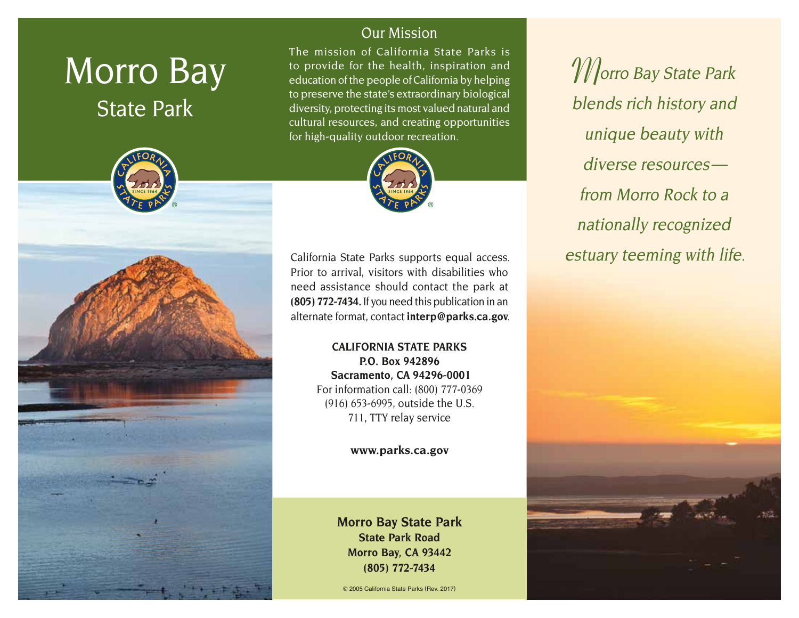## Morro Bay State Park



## Our Mission

The mission of California State Parks is to provide for the health, inspiration and education of the people of California by helping to preserve the state's extraordinary biological diversity, protecting its most valued natural and cultural resources, and creating opportunities for high-quality outdoor recreation.



California State Parks supports equal access. Prior to arrival, visitors with disabilities who need assistance should contact the park at **(805) 772-7434.** If you need this publication in an alternate format, contact **[interp@parks.ca.gov](mailto:interp@parks.ca.gov)**.

> **CALIFORNIA STATE PARKS P.O. Box 942896 Sacramento, CA 94296-0001** For information call: (800) 777-0369 (916) 653-6995, outside the U.S. 711, TTY relay service

> > **[www.parks.ca.gov](http://www.parks.ca.gov)**

**Morro Bay State Park State Park Road Morro Bay, CA 93442 (805) 772-7434**

© 2005 California State Parks (Rev. 2017)

**M**orro Bay State Park blends rich history and unique beauty with diverse resources from Morro Rock to a nationally recognized estuary teeming with life.

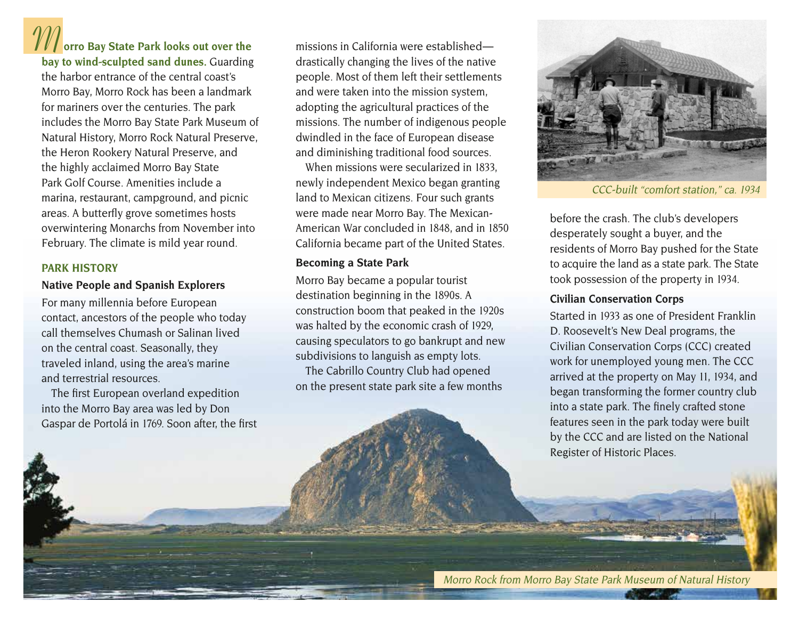# **M orro Bay State Park looks out over the**

**bay to wind-sculpted sand dunes.** Guarding the harbor entrance of the central coast's Morro Bay, Morro Rock has been a landmark for mariners over the centuries. The park includes the Morro Bay State Park Museum of Natural History, Morro Rock Natural Preserve, the Heron Rookery Natural Preserve, and the highly acclaimed Morro Bay State Park Golf Course. Amenities include a marina, restaurant, campground, and picnic areas. A butterfly grove sometimes hosts overwintering Monarchs from November into February. The climate is mild year round.

#### **PARK HISTORY**

## **Native People and Spanish Explorers**

For many millennia before European contact, ancestors of the people who today call themselves Chumash or Salinan lived on the central coast. Seasonally, they traveled inland, using the area's marine and terrestrial resources.

The first European overland expedition into the Morro Bay area was led by Don Gaspar de Portolá in 1769. Soon after, the first

missions in California were established drastically changing the lives of the native people. Most of them left their settlements and were taken into the mission system, adopting the agricultural practices of the missions. The number of indigenous people dwindled in the face of European disease and diminishing traditional food sources.

When missions were secularized in 1833, newly independent Mexico began granting land to Mexican citizens. Four such grants were made near Morro Bay. The Mexican-American War concluded in 1848, and in 1850 California became part of the United States.

## **Becoming a State Park**

Morro Bay became a popular tourist destination beginning in the 1890s. A construction boom that peaked in the 1920s was halted by the economic crash of 1929, causing speculators to go bankrupt and new subdivisions to languish as empty lots. The Cabrillo Country Club had opened

on the present state park site a few months



CCC-built "comfort station," ca. 1934

before the crash. The club's developers desperately sought a buyer, and the residents of Morro Bay pushed for the State to acquire the land as a state park. The State took possession of the property in 1934.

## **Civilian Conservation Corps**

Started in 1933 as one of President Franklin D. Roosevelt's New Deal programs, the Civilian Conservation Corps (CCC) created work for unemployed young men. The CCC arrived at the property on May 11, 1934, and began transforming the former country club into a state park. The finely crafted stone features seen in the park today were built by the CCC and are listed on the National Register of Historic Places.

Morro Rock from Morro Bay State Park Museum of Natural History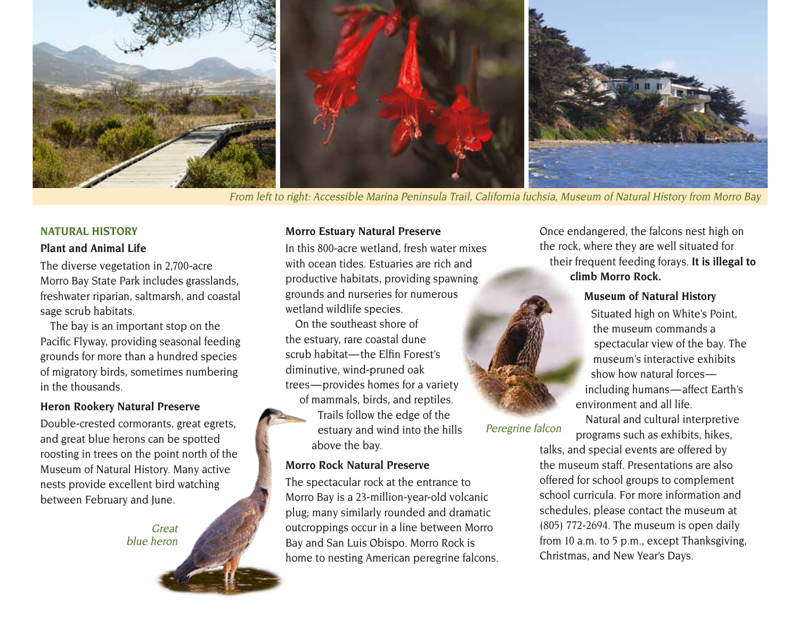

From left to right: Accessible Marina Peninsula Trail, California fuchsia, Museum of Natural History from Morro Bay

#### **NATURAL HISTORY**

#### **Plant and Animal Life**

The diverse vegetation in 2,700-acre Morro Bay State Park includes grasslands, freshwater riparian, saltmarsh, and coastal sage scrub habitats.

The bay is an important stop on the Pacific Flyway, providing seasonal feeding grounds for more than a hundred species of migratory birds, sometimes numbering in the thousands.

#### **Heron Rookery Natural Preserve**

Double-crested cormorants, great egrets, and great blue herons can be spotted roosting in trees on the point north of the Museum of Natural History. Many active nests provide excellent bird watching between February and June.

Great

#### **Morro Estuary Natural Preserve**

In this 800-acre wetland, fresh water mixes with ocean tides. Estuaries are rich and productive habitats, providing spawning grounds and nurseries for numerous wetland wildlife species.

On the southeast shore of the estuary, rare coastal dune scrub habitat-the Elfin Forest's diminutive, wind-pruned oak trees — provides homes for a variety of mammals, birds, and reptiles. Trails follow the edge of the estuary and wind into the hills above the bay.

#### **Morro Rock Natural Preserve**

The spectacular rock at the entrance to Morro Bay is a 23-million-year-old volcanic plug; many similarly rounded and dramatic outcroppings occur in a line between Morro Bay and San Luis Obispo. Morro Rock is home to nesting American peregrine falcons. Once endangered, the falcons nest high on the rock, where they are well situated for their frequent feeding forays. **It is illegal to climb Morro Rock.**

#### **Museum of Natural History**

Situated high on White's Point, the museum commands a spectacular view of the bay. The museum's interactive exhibits show how natural forces including humans — affect Earth's environment and all life.

Natural and cultural interpretive programs such as exhibits, hikes,

talks, and special events are offered by the museum staff. Presentations are also offered for school groups to complement school curricula. For more information and schedules, please contact the museum at (805) 772-2694. The museum is open daily from 10 a.m. to 5 p.m., except Thanksgiving, Christmas, and New Year's Days.



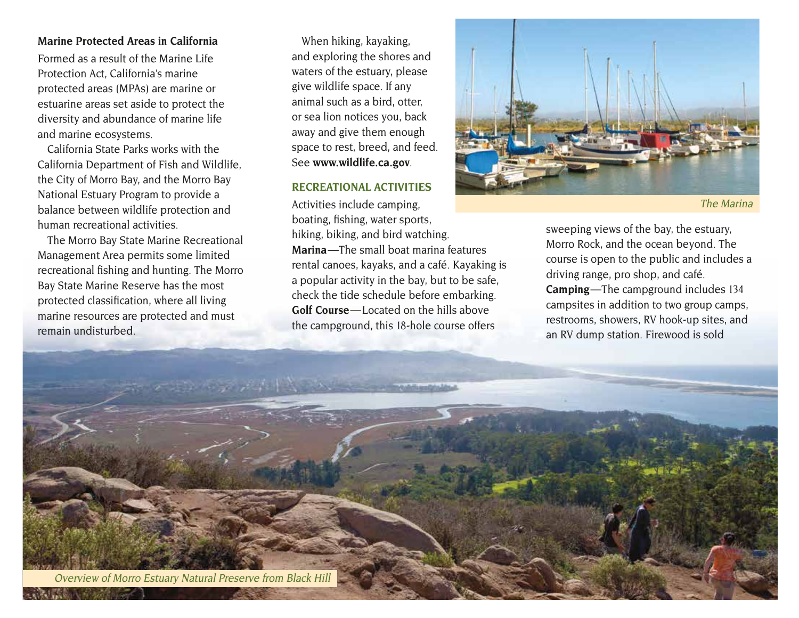#### **Marine Protected Areas in California**

Formed as a result of the Marine Life Protection Act, California's marine protected areas (MPAs) are marine or estuarine areas set aside to protect the diversity and abundance of marine life and marine ecosystems.

California State Parks works with the California Department of Fish and Wildlife, the City of Morro Bay, and the Morro Bay National Estuary Program to provide a balance between wildlife protection and human recreational activities.

The Morro Bay State Marine Recreational Management Area permits some limited recreational fishing and hunting. The Morro Bay State Marine Reserve has the most protected classification, where all living marine resources are protected and must remain undisturbed.

When hiking, kayaking, and exploring the shores and waters of the estuary, please give wildlife space. If any animal such as a bird, otter, or sea lion notices you, back away and give them enough space to rest, breed, and feed. See **[www.wildlife.ca.gov](http://www.wildlife.ca.gov)**.

#### **RECREATIONAL ACTIVITIES**

Activities include camping, boating, fishing, water sports, sweeping views of the bay, the estuary, hiking, biking, and bird watching. Morro Rock, and the ocean beyond. The **Marina**—The small boat marina features course is open to the public and incl rental canoes, kayaks, and a café. Kayaking is driving range, pro shop, and café.<br>a popular activity in the bay, but to be safe, driving range, pro shop, and café. check the tide schedule before embarking. Golf Course — Located on the hills above the campground, this 18-hole course offers



The Marina

**Camping**—The campground includes 134 campsites in addition to two group camps, restrooms, showers, RV hook-up sites, and an RV dump station. Firewood is sold

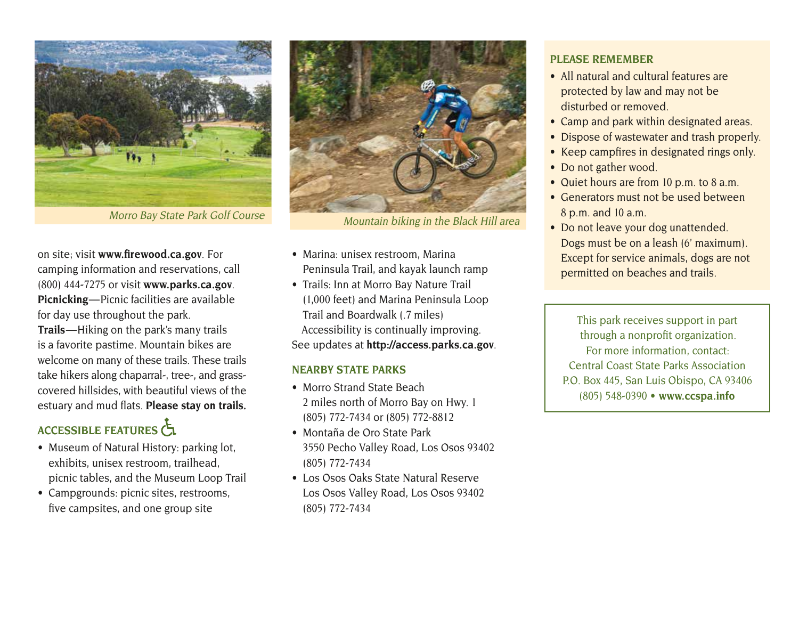

on site; visit **[www.firewood.ca.gov](http://www.firewood.ca.gov)**. For camping information and reservations, call (800) 444-7275 or visit **[www.parks.ca.gov](http://www.parks.ca.gov)**. **Picnicking**—Picnic facilities are available for day use throughout the park. **Trails** — Hiking on the park's many trails is a favorite pastime. Mountain bikes are welcome on many of these trails. These trails take hikers along chaparral-, tree-, and grasscovered hillsides, with beautiful views of the estuary and mud flats. **Please stay on trails.**

## ACCESSIBLE FEATURES

- Museum of Natural History: parking lot, exhibits, unisex restroom, trailhead, picnic tables, and the Museum Loop Trail
- Campgrounds: picnic sites, restrooms, five campsites, and one group site



- Marina: unisex restroom, Marina Peninsula Trail, and kayak launch ramp
- Trails: Inn at Morro Bay Nature Trail (1,000 feet) and Marina Peninsula Loop Trail and Boardwalk (.7 miles) Accessibility is continually improving. See updates at **<http://access.parks.ca.gov>**.

#### **NEARBY STATE PARKS**

- Morro Strand State Beach 2 miles north of Morro Bay on Hwy. 1 (805) 772-7434 or (805) 772-8812
- Montaña de Oro State Park 3550 Pecho Valley Road, Los Osos 93402 (805) 772-7434
- Los Osos Oaks State Natural Reserve Los Osos Valley Road, Los Osos 93402 (805) 772-7434

### **PLEASE REMEMBER**

- All natural and cultural features are protected by law and may not be disturbed or removed.
- Camp and park within designated areas.
- Dispose of wastewater and trash properly.
- Keep campfires in designated rings only.
- Do not gather wood.
- Quiet hours are from 10 p.m. to 8 a.m.
- Generators must not be used between 8 p.m. and 10 a.m.
- Do not leave your dog unattended. Dogs must be on a leash (6' maximum). Except for service animals, dogs are not permitted on beaches and trails.

This park receives support in part through a nonprofit organization. For more information, contact: Central Coast State Parks Association P.O. Box 445, San Luis Obispo, CA 93406 (805) 548-0390 **• [www.ccspa.info](http://www.ccspa.info)**